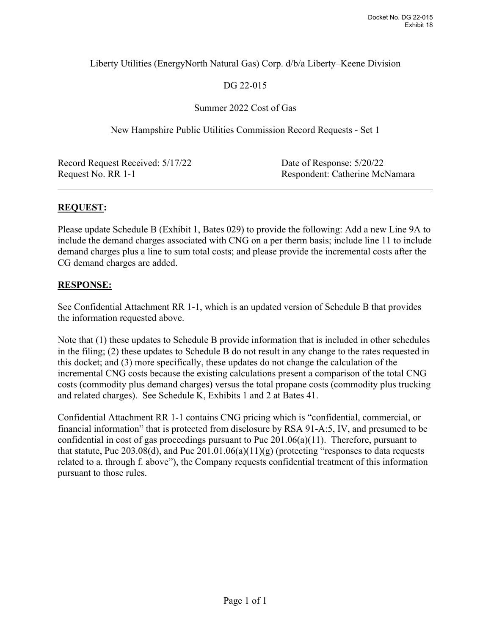## Liberty Utilities (EnergyNorth Natural Gas) Corp. d/b/a Liberty–Keene Division

# DG 22-015

#### Summer 2022 Cost of Gas

New Hampshire Public Utilities Commission Record Requests - Set 1

| Record Request Received: 5/17/22 | Date of Response: 5/20/22      |
|----------------------------------|--------------------------------|
| Request No. RR 1-1               | Respondent: Catherine McNamara |

## **REQUEST:**

Please update Schedule B (Exhibit 1, Bates 029) to provide the following: Add a new Line 9A to include the demand charges associated with CNG on a per therm basis; include line 11 to include demand charges plus a line to sum total costs; and please provide the incremental costs after the CG demand charges are added.

## **RESPONSE:**

See Confidential Attachment RR 1-1, which is an updated version of Schedule B that provides the information requested above.

Note that (1) these updates to Schedule B provide information that is included in other schedules in the filing; (2) these updates to Schedule B do not result in any change to the rates requested in this docket; and (3) more specifically, these updates do not change the calculation of the incremental CNG costs because the existing calculations present a comparison of the total CNG costs (commodity plus demand charges) versus the total propane costs (commodity plus trucking and related charges). See Schedule K, Exhibits 1 and 2 at Bates 41.

Confidential Attachment RR 1-1 contains CNG pricing which is "confidential, commercial, or financial information" that is protected from disclosure by RSA 91-A:5, IV, and presumed to be confidential in cost of gas proceedings pursuant to Puc 201.06(a)(11). Therefore, pursuant to that statute, Puc 203.08(d), and Puc  $201.01.06(a)(11)(g)$  (protecting "responses to data requests related to a. through f. above"), the Company requests confidential treatment of this information pursuant to those rules.